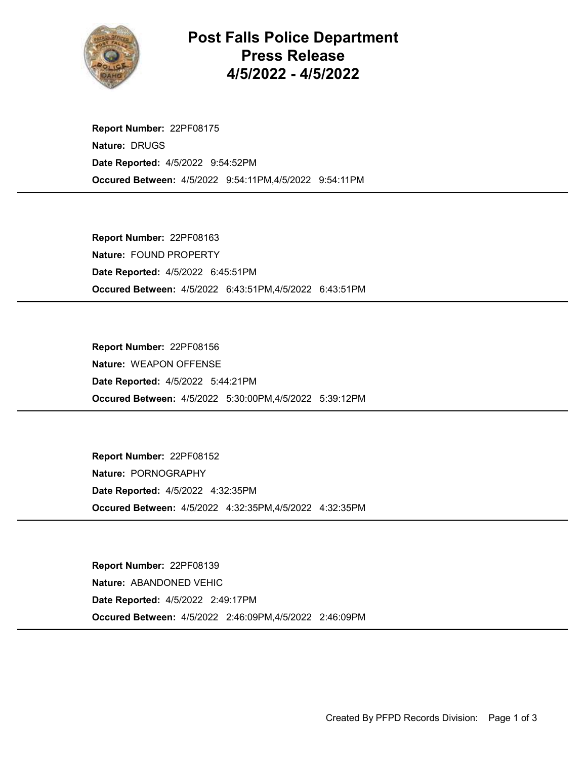

Post Falls Police Department Press Release 4/5/2022 - 4/5/2022

Occured Between: 4/5/2022 9:54:11PM,4/5/2022 9:54:11PM Report Number: 22PF08175 Nature: DRUGS Date Reported: 4/5/2022 9:54:52PM

Occured Between: 4/5/2022 6:43:51PM,4/5/2022 6:43:51PM Report Number: 22PF08163 Nature: FOUND PROPERTY Date Reported: 4/5/2022 6:45:51PM

Occured Between: 4/5/2022 5:30:00PM,4/5/2022 5:39:12PM Report Number: 22PF08156 Nature: WEAPON OFFENSE Date Reported: 4/5/2022 5:44:21PM

Occured Between: 4/5/2022 4:32:35PM,4/5/2022 4:32:35PM Report Number: 22PF08152 Nature: PORNOGRAPHY Date Reported: 4/5/2022 4:32:35PM

Occured Between: 4/5/2022 2:46:09PM,4/5/2022 2:46:09PM Report Number: 22PF08139 Nature: ABANDONED VEHIC Date Reported: 4/5/2022 2:49:17PM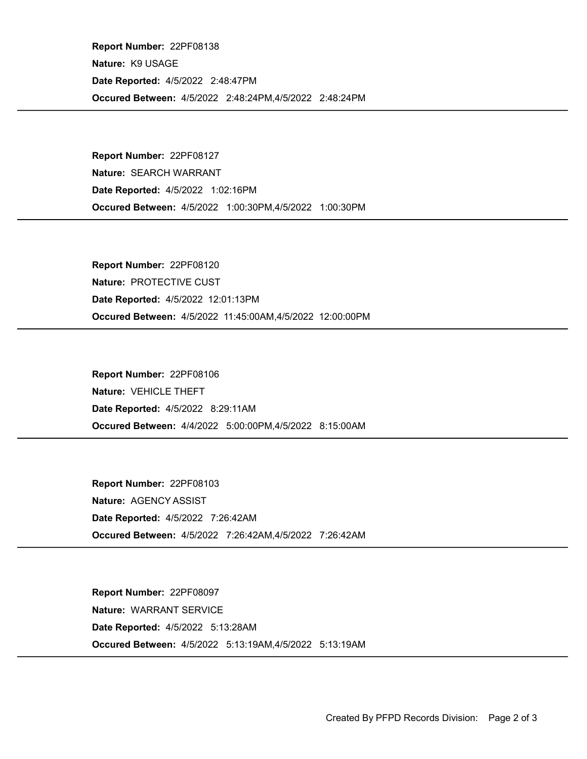Occured Between: 4/5/2022 2:48:24PM,4/5/2022 2:48:24PM Report Number: 22PF08138 Nature: K9 USAGE Date Reported: 4/5/2022 2:48:47PM

Occured Between: 4/5/2022 1:00:30PM,4/5/2022 1:00:30PM Report Number: 22PF08127 Nature: SEARCH WARRANT Date Reported: 4/5/2022 1:02:16PM

Occured Between: 4/5/2022 11:45:00AM,4/5/2022 12:00:00PM Report Number: 22PF08120 Nature: PROTECTIVE CUST Date Reported: 4/5/2022 12:01:13PM

Occured Between: 4/4/2022 5:00:00PM,4/5/2022 8:15:00AM Report Number: 22PF08106 Nature: VEHICLE THEFT Date Reported: 4/5/2022 8:29:11AM

Occured Between: 4/5/2022 7:26:42AM,4/5/2022 7:26:42AM Report Number: 22PF08103 Nature: AGENCY ASSIST Date Reported: 4/5/2022 7:26:42AM

Occured Between: 4/5/2022 5:13:19AM,4/5/2022 5:13:19AM Report Number: 22PF08097 Nature: WARRANT SERVICE Date Reported: 4/5/2022 5:13:28AM